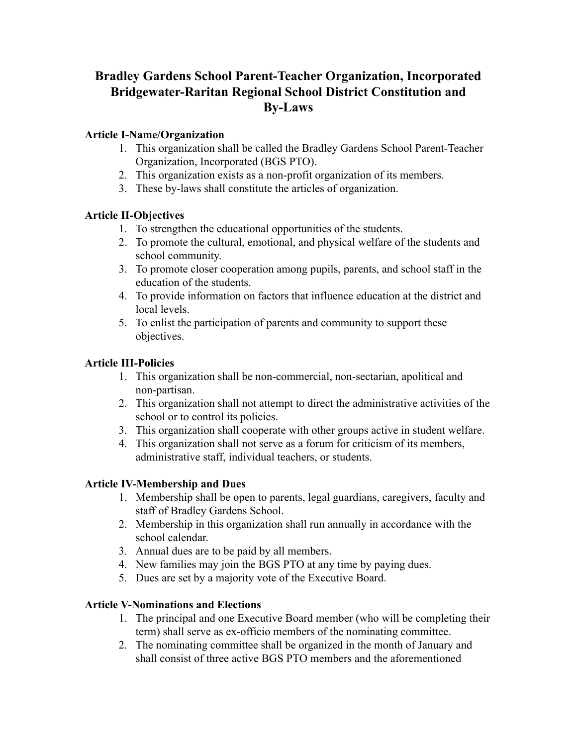# **Bradley Gardens School Parent-Teacher Organization, Incorporated Bridgewater-Raritan Regional School District Constitution and By-Laws**

### **Article I-Name/Organization**

- 1. This organization shall be called the Bradley Gardens School Parent-Teacher Organization, Incorporated (BGS PTO).
- 2. This organization exists as a non-profit organization of its members.
- 3. These by-laws shall constitute the articles of organization.

## **Article II-Objectives**

- 1. To strengthen the educational opportunities of the students.
- 2. To promote the cultural, emotional, and physical welfare of the students and school community.
- 3. To promote closer cooperation among pupils, parents, and school staff in the education of the students.
- 4. To provide information on factors that influence education at the district and local levels.
- 5. To enlist the participation of parents and community to support these objectives.

#### **Article III-Policies**

- 1. This organization shall be non-commercial, non-sectarian, apolitical and non-partisan.
- 2. This organization shall not attempt to direct the administrative activities of the school or to control its policies.
- 3. This organization shall cooperate with other groups active in student welfare.
- 4. This organization shall not serve as a forum for criticism of its members, administrative staff, individual teachers, or students.

## **Article IV-Membership and Dues**

- 1. Membership shall be open to parents, legal guardians, caregivers, faculty and staff of Bradley Gardens School.
- 2. Membership in this organization shall run annually in accordance with the school calendar.
- 3. Annual dues are to be paid by all members.
- 4. New families may join the BGS PTO at any time by paying dues.
- 5. Dues are set by a majority vote of the Executive Board.

## **Article V-Nominations and Elections**

- 1. The principal and one Executive Board member (who will be completing their term) shall serve as ex-officio members of the nominating committee.
- 2. The nominating committee shall be organized in the month of January and shall consist of three active BGS PTO members and the aforementioned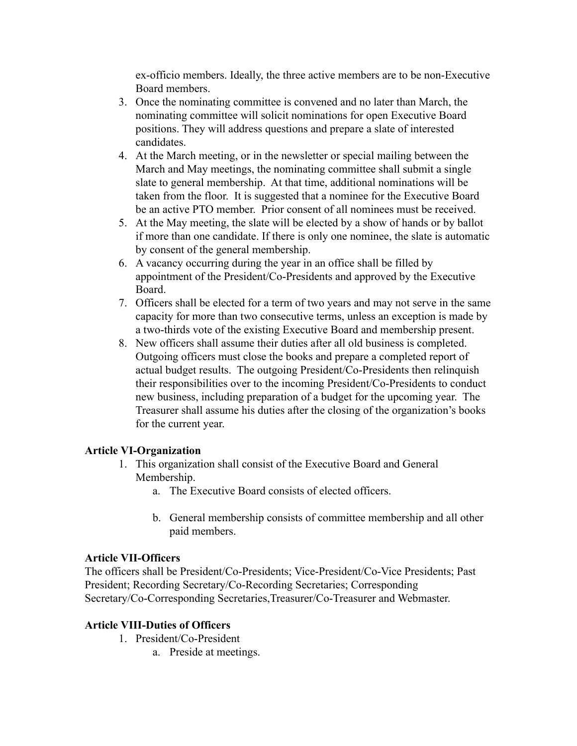ex-officio members. Ideally, the three active members are to be non-Executive Board members.

- 3. Once the nominating committee is convened and no later than March, the nominating committee will solicit nominations for open Executive Board positions. They will address questions and prepare a slate of interested candidates.
- 4. At the March meeting, or in the newsletter or special mailing between the March and May meetings, the nominating committee shall submit a single slate to general membership. At that time, additional nominations will be taken from the floor. It is suggested that a nominee for the Executive Board be an active PTO member. Prior consent of all nominees must be received.
- 5. At the May meeting, the slate will be elected by a show of hands or by ballot if more than one candidate. If there is only one nominee, the slate is automatic by consent of the general membership.
- 6. A vacancy occurring during the year in an office shall be filled by appointment of the President/Co-Presidents and approved by the Executive Board.
- 7. Officers shall be elected for a term of two years and may not serve in the same capacity for more than two consecutive terms, unless an exception is made by a two-thirds vote of the existing Executive Board and membership present.
- 8. New officers shall assume their duties after all old business is completed. Outgoing officers must close the books and prepare a completed report of actual budget results. The outgoing President/Co-Presidents then relinquish their responsibilities over to the incoming President/Co-Presidents to conduct new business, including preparation of a budget for the upcoming year. The Treasurer shall assume his duties after the closing of the organization's books for the current year.

#### **Article VI-Organization**

- 1. This organization shall consist of the Executive Board and General Membership.
	- a. The Executive Board consists of elected officers.
	- b. General membership consists of committee membership and all other paid members.

#### **Article VII-Officers**

The officers shall be President/Co-Presidents; Vice-President/Co-Vice Presidents; Past President; Recording Secretary/Co-Recording Secretaries; Corresponding Secretary/Co-Corresponding Secretaries,Treasurer/Co-Treasurer and Webmaster.

#### **Article VIII-Duties of Officers**

- 1. President/Co-President
	- a. Preside at meetings.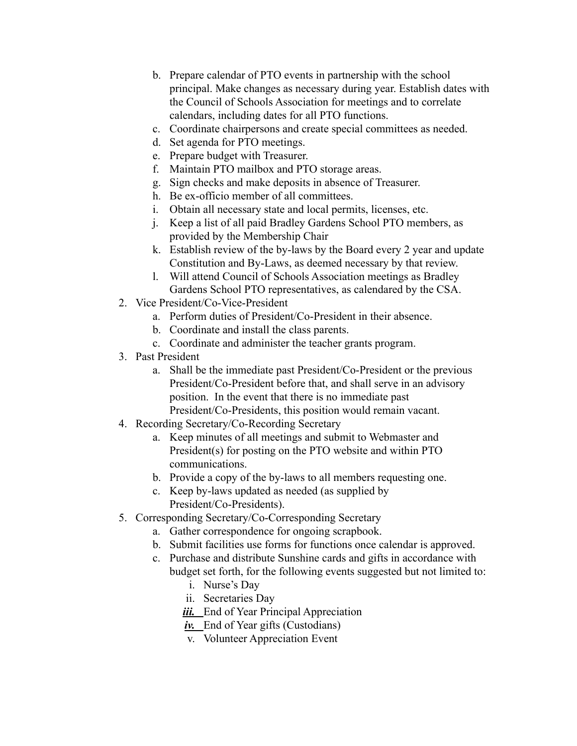- b. Prepare calendar of PTO events in partnership with the school principal. Make changes as necessary during year. Establish dates with the Council of Schools Association for meetings and to correlate calendars, including dates for all PTO functions.
- c. Coordinate chairpersons and create special committees as needed.
- d. Set agenda for PTO meetings.
- e. Prepare budget with Treasurer.
- f. Maintain PTO mailbox and PTO storage areas.
- g. Sign checks and make deposits in absence of Treasurer.
- h. Be ex-officio member of all committees.
- i. Obtain all necessary state and local permits, licenses, etc.
- j. Keep a list of all paid Bradley Gardens School PTO members, as provided by the Membership Chair
- k. Establish review of the by-laws by the Board every 2 year and update Constitution and By-Laws, as deemed necessary by that review.
- l. Will attend Council of Schools Association meetings as Bradley Gardens School PTO representatives, as calendared by the CSA.
- 2. Vice President/Co-Vice-President
	- a. Perform duties of President/Co-President in their absence.
	- b. Coordinate and install the class parents.
	- c. Coordinate and administer the teacher grants program.
- 3. Past President
	- a. Shall be the immediate past President/Co-President or the previous President/Co-President before that, and shall serve in an advisory position. In the event that there is no immediate past President/Co-Presidents, this position would remain vacant.
- 4. Recording Secretary/Co-Recording Secretary
	- a. Keep minutes of all meetings and submit to Webmaster and President(s) for posting on the PTO website and within PTO communications.
	- b. Provide a copy of the by-laws to all members requesting one.
	- c. Keep by-laws updated as needed (as supplied by President/Co-Presidents).
- 5. Corresponding Secretary/Co-Corresponding Secretary
	- a. Gather correspondence for ongoing scrapbook.
	- b. Submit facilities use forms for functions once calendar is approved.
	- c. Purchase and distribute Sunshine cards and gifts in accordance with budget set forth, for the following events suggested but not limited to:
		- i. Nurse's Day
		- ii. Secretaries Day
		- *iii.* End of Year Principal Appreciation
		- *iv.* End of Year gifts (Custodians)
		- v. Volunteer Appreciation Event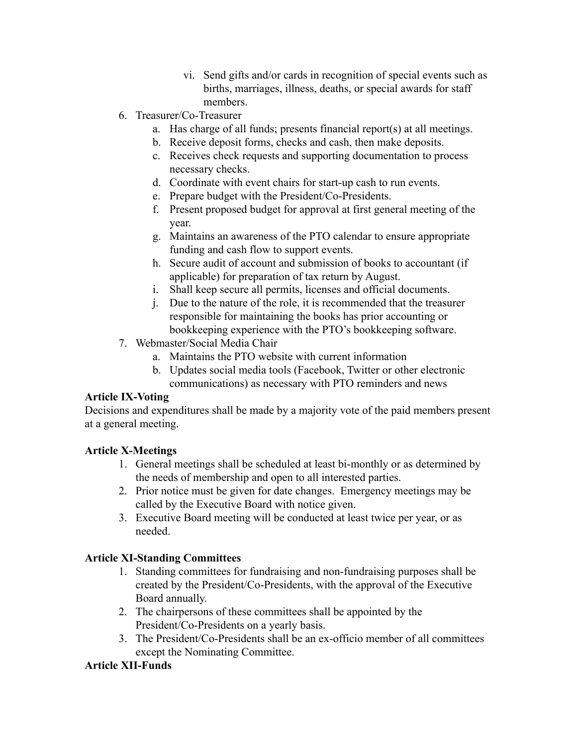- vi. Send gifts and/or cards in recognition of special events such as births, marriages, illness, deaths, or special awards for staff members.
- 6. Treasurer/Co-Treasurer
	- a. Has charge of all funds; presents financial report(s) at all meetings.
	- b. Receive deposit forms, checks and cash, then make deposits.
	- c. Receives check requests and supporting documentation to process necessary checks.
	- d. Coordinate with event chairs for start-up cash to run events.
	- e. Prepare budget with the President/Co-Presidents.
	- f. Present proposed budget for approval at first general meeting of the year.
	- g. Maintains an awareness of the PTO calendar to ensure appropriate funding and cash flow to support events.
	- h. Secure audit of account and submission of books to accountant (if applicable) for preparation of tax return by August.
	- i. Shall keep secure all permits, licenses and official documents.
	- j. Due to the nature of the role, it is recommended that the treasurer responsible for maintaining the books has prior accounting or bookkeeping experience with the PTO's bookkeeping software.
- 7. Webmaster/Social Media Chair
	- a. Maintains the PTO website with current information
	- b. Updates social media tools (Facebook, Twitter or other electronic communications) as necessary with PTO reminders and news

## **Article IX-Voting**

Decisions and expenditures shall be made by a majority vote of the paid members present at a general meeting.

## **Article X-Meetings**

- 1. General meetings shall be scheduled at least bi-monthly or as determined by the needs of membership and open to all interested parties.
- 2. Prior notice must be given for date changes. Emergency meetings may be called by the Executive Board with notice given.
- 3. Executive Board meeting will be conducted at least twice per year, or as needed.

## **Article XI-Standing Committees**

- 1. Standing committees for fundraising and non-fundraising purposes shall be created by the President/Co-Presidents, with the approval of the Executive Board annually.
- 2. The chairpersons of these committees shall be appointed by the President/Co-Presidents on a yearly basis.
- 3. The President/Co-Presidents shall be an ex-officio member of all committees except the Nominating Committee.

## **Article XII-Funds**